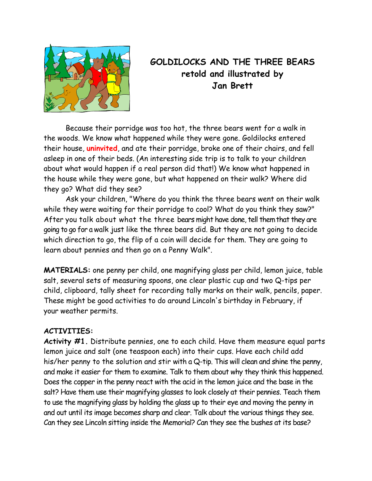

## **GOLDILOCKS AND THE THREE BEARS retold and illustrated by Jan Brett**

 Because their porridge was too hot, the three bears went for a walk in the woods. We know what happened while they were gone. Goldilocks entered their house, **uninvited**, and ate their porridge, broke one of their chairs, and fell asleep in one of their beds. (An interesting side trip is to talk to your children about what would happen if a real person did that!) We know what happened in the house while they were gone, but what happened on their walk? Where did they go? What did they see?

 Ask your children, "Where do you think the three bears went on their walk while they were waiting for their porridge to cool? What do you think they saw?" After you talk about what the three bears might have done, tell themthat they are going to go for a walk just like the three bears did. But they are not going to decide which direction to go, the flip of a coin will decide for them. They are going to learn about pennies and then go on a Penny Walk".

**MATERIALS:** one penny per child, one magnifying glass per child, lemon juice, table salt, several sets of measuring spoons, one clear plastic cup and two Q-tips per child, clipboard, tally sheet for recording tally marks on their walk, pencils, paper. These might be good activities to do around Lincoln's birthday in February, if your weather permits.

## **ACTIVITIES:**

**Activity #1.** Distribute pennies, one to each child. Have them measure equal parts lemon juice and salt (one teaspoon each) into their cups. Have each child add his/her penny to the solution and stir with a Q-tip. This will clean and shine the penny, and make it easier for them to examine. Talk to them about why they think this happened. Does the copper in the penny react with the acid in the lemon juice and the base in the salt? Have them use their magnifying glasses to look closely at their pennies. Teach them to use the magnifying glass by holding the glass up to their eye and moving the penny in and out until its image becomes sharp and clear. Talk about the various things they see. Can they see Lincoln sitting inside the Memorial? Can they see the bushes at its base?